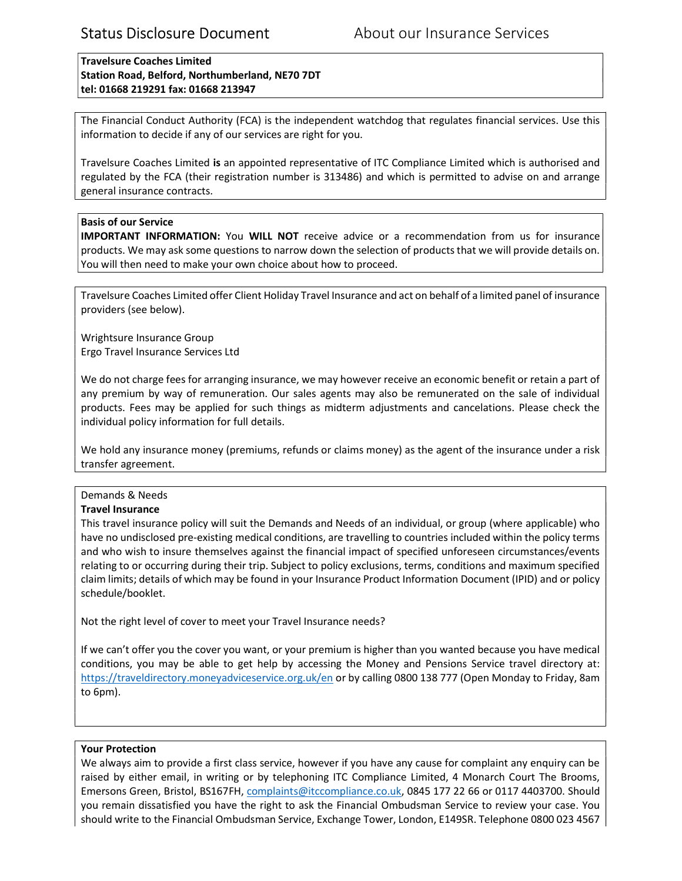Travelsure Coaches Limited Station Road, Belford, Northumberland, NE70 7DT tel: 01668 219291 fax: 01668 213947

The Financial Conduct Authority (FCA) is the independent watchdog that regulates financial services. Use this information to decide if any of our services are right for you.

Travelsure Coaches Limited is an appointed representative of ITC Compliance Limited which is authorised and regulated by the FCA (their registration number is 313486) and which is permitted to advise on and arrange general insurance contracts.

## Basis of our Service

IMPORTANT INFORMATION: You WILL NOT receive advice or a recommendation from us for insurance products. We may ask some questions to narrow down the selection of products that we will provide details on. You will then need to make your own choice about how to proceed.

Travelsure Coaches Limited offer Client Holiday Travel Insurance and act on behalf of a limited panel of insurance providers (see below).

Wrightsure Insurance Group Ergo Travel Insurance Services Ltd

We do not charge fees for arranging insurance, we may however receive an economic benefit or retain a part of any premium by way of remuneration. Our sales agents may also be remunerated on the sale of individual products. Fees may be applied for such things as midterm adjustments and cancelations. Please check the individual policy information for full details.

We hold any insurance money (premiums, refunds or claims money) as the agent of the insurance under a risk transfer agreement.

# Demands & Needs

### Travel Insurance

This travel insurance policy will suit the Demands and Needs of an individual, or group (where applicable) who have no undisclosed pre-existing medical conditions, are travelling to countries included within the policy terms and who wish to insure themselves against the financial impact of specified unforeseen circumstances/events relating to or occurring during their trip. Subject to policy exclusions, terms, conditions and maximum specified claim limits; details of which may be found in your Insurance Product Information Document (IPID) and or policy schedule/booklet.

Not the right level of cover to meet your Travel Insurance needs?

If we can't offer you the cover you want, or your premium is higher than you wanted because you have medical conditions, you may be able to get help by accessing the Money and Pensions Service travel directory at: https://traveldirectory.moneyadviceservice.org.uk/en or by calling 0800 138 777 (Open Monday to Friday, 8am to 6pm).

### Your Protection

We always aim to provide a first class service, however if you have any cause for complaint any enquiry can be raised by either email, in writing or by telephoning ITC Compliance Limited, 4 Monarch Court The Brooms, Emersons Green, Bristol, BS167FH, complaints@itccompliance.co.uk, 0845 177 22 66 or 0117 4403700. Should you remain dissatisfied you have the right to ask the Financial Ombudsman Service to review your case. You should write to the Financial Ombudsman Service, Exchange Tower, London, E149SR. Telephone 0800 023 4567